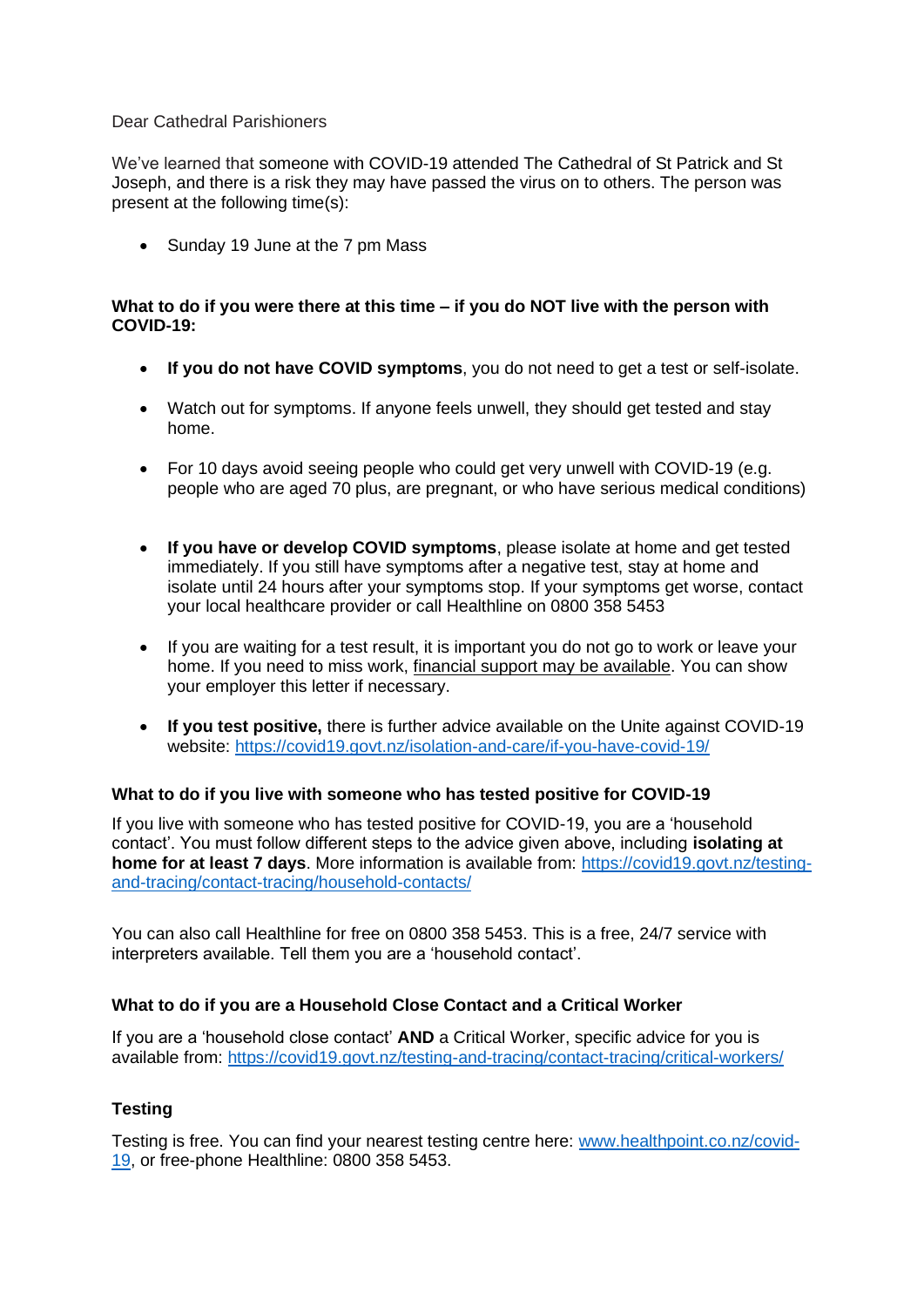#### Dear Cathedral Parishioners

We've learned that someone with COVID-19 attended The Cathedral of St Patrick and St Joseph, and there is a risk they may have passed the virus on to others. The person was present at the following time(s):

• Sunday 19 June at the 7 pm Mass

### **What to do if you were there at this time – if you do NOT live with the person with COVID-19:**

- **If you do not have COVID symptoms**, you do not need to get a test or self-isolate.
- Watch out for symptoms. If anyone feels unwell, they should get tested and stay home.
- For 10 days avoid seeing people who could get very unwell with COVID-19 (e.g. people who are aged 70 plus, are pregnant, or who have serious medical conditions)
- **If you have or develop COVID symptoms**, please isolate at home and get tested immediately. If you still have symptoms after a negative test, stay at home and isolate until 24 hours after your symptoms stop. If your symptoms get worse, contact your local healthcare provider or call Healthline on 0800 358 5453
- If you are waiting for a test result, it is important you do not go to work or leave your home. If you need to miss work, [financial support](https://covid19.govt.nz/isolation-and-care/financial-support/) may be available. You can show your employer this letter if necessary.
- **If you test positive,** there is further advice available on the Unite against COVID-19 website:<https://covid19.govt.nz/isolation-and-care/if-you-have-covid-19/>

# **What to do if you live with someone who has tested positive for COVID-19**

If you live with someone who has tested positive for COVID-19, you are a 'household contact'. You must follow different steps to the advice given above, including **isolating at home for at least 7 days**. More information is available from: [https://covid19.govt.nz/testing](https://covid19.govt.nz/testing-and-tracing/contact-tracing/household-contacts/)[and-tracing/contact-tracing/household-contacts/](https://covid19.govt.nz/testing-and-tracing/contact-tracing/household-contacts/)

You can also call Healthline for free on [0800 358 5453.](https://www.healthy.org.nz/) This is a free, 24/7 service with interpreters available. Tell them you are a 'household contact'.

# **What to do if you are a Household Close Contact and a Critical Worker**

If you are a 'household close contact' **AND** a Critical Worker, specific advice for you is available from: https://covid19.govt.nz/testing-and-tracing/contact-tracing/critical-workers/

# **Testing**

Testing is free. You can find your nearest testing centre here: [www.healthpoint.co.nz/covid-](http://www.healthpoint.co.nz/covid-19)[19,](http://www.healthpoint.co.nz/covid-19) or free-phone Healthline: 0800 358 5453.